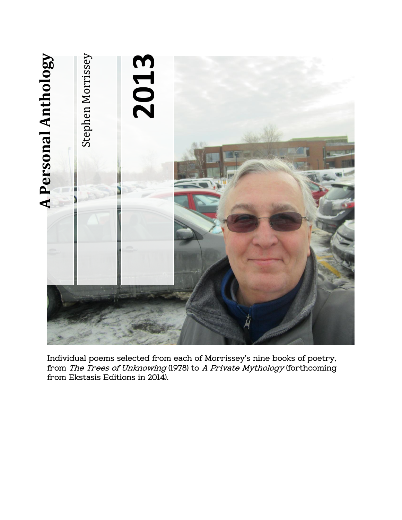

**Individual poems selected from each of Morrissey's nine books of poetry, from The Trees of Unknowing (1978) to A Private Mythology (forthcoming**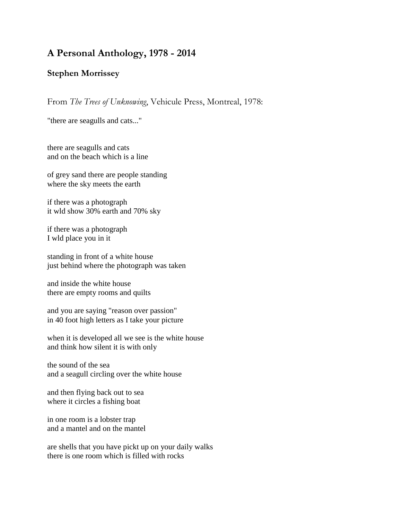# **A Personal Anthology, 1978 - 2014**

# **Stephen Morrissey**

From *The Trees of Unknowing*, Vehicule Press, Montreal, 1978:

"there are seagulls and cats..."

there are seagulls and cats and on the beach which is a line

of grey sand there are people standing where the sky meets the earth

if there was a photograph it wld show 30% earth and 70% sky

if there was a photograph I wld place you in it

standing in front of a white house just behind where the photograph was taken

and inside the white house there are empty rooms and quilts

and you are saying "reason over passion" in 40 foot high letters as I take your picture

when it is developed all we see is the white house and think how silent it is with only

the sound of the sea and a seagull circling over the white house

and then flying back out to sea where it circles a fishing boat

in one room is a lobster trap and a mantel and on the mantel

are shells that you have pickt up on your daily walks there is one room which is filled with rocks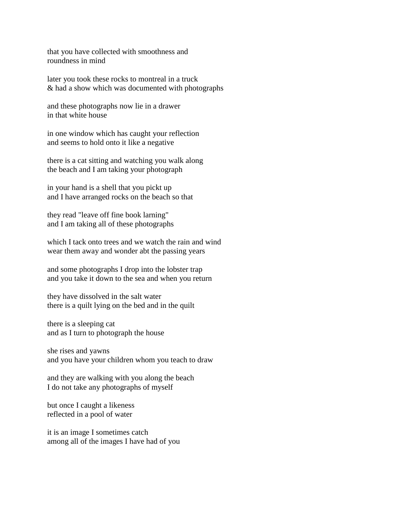that you have collected with smoothness and roundness in mind

later you took these rocks to montreal in a truck & had a show which was documented with photographs

and these photographs now lie in a drawer in that white house

in one window which has caught your reflection and seems to hold onto it like a negative

there is a cat sitting and watching you walk along the beach and I am taking your photograph

in your hand is a shell that you pickt up and I have arranged rocks on the beach so that

they read "leave off fine book larning" and I am taking all of these photographs

which I tack onto trees and we watch the rain and wind wear them away and wonder abt the passing years

and some photographs I drop into the lobster trap and you take it down to the sea and when you return

they have dissolved in the salt water there is a quilt lying on the bed and in the quilt

there is a sleeping cat and as I turn to photograph the house

she rises and yawns and you have your children whom you teach to draw

and they are walking with you along the beach I do not take any photographs of myself

but once I caught a likeness reflected in a pool of water

it is an image I sometimes catch among all of the images I have had of you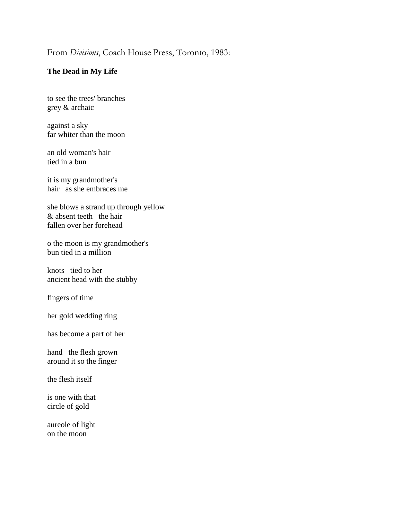# From *Divisions*, Coach House Press, Toronto, 1983:

# **The Dead in My Life**

to see the trees' branches grey & archaic

against a sky far whiter than the moon

an old woman's hair tied in a bun

it is my grandmother's hair as she embraces me

she blows a strand up through yellow & absent teeth the hair fallen over her forehead

o the moon is my grandmother's bun tied in a million

knots tied to her ancient head with the stubby

fingers of time

her gold wedding ring

has become a part of her

hand the flesh grown around it so the finger

the flesh itself

is one with that circle of gold

aureole of light on the moon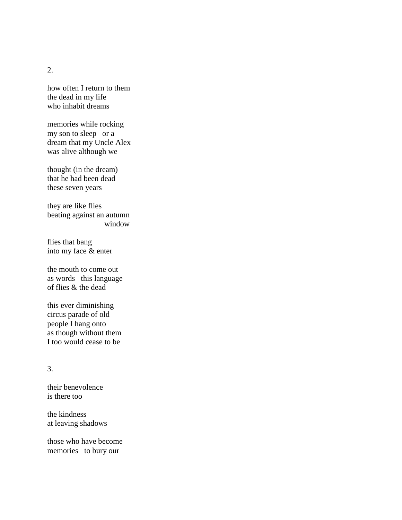2.

how often I return to them the dead in my life who inhabit dreams

memories while rocking my son to sleep or a dream that my Uncle Alex was alive although we

thought (in the dream) that he had been dead these seven years

they are like flies beating against an autumn window

flies that bang into my face & enter

the mouth to come out as words this language of flies & the dead

this ever diminishing circus parade of old people I hang onto as though without them I too would cease to be

# 3.

their benevolence is there too

the kindness at leaving shadows

those who have become memories to bury our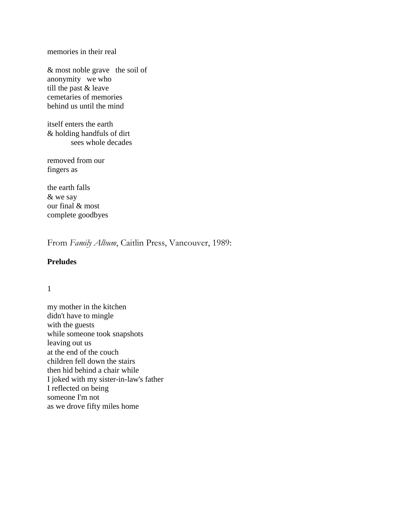memories in their real

& most noble grave the soil of anonymity we who till the past & leave cemetaries of memories behind us until the mind

itself enters the earth & holding handfuls of dirt sees whole decades

removed from our fingers as

the earth falls & we say our final & most complete goodbyes

From *Family Album*, Caitlin Press, Vancouver, 1989:

### **Preludes**

#### 1

my mother in the kitchen didn't have to mingle with the guests while someone took snapshots leaving out us at the end of the couch children fell down the stairs then hid behind a chair while I joked with my sister-in-law's father I reflected on being someone I'm not as we drove fifty miles home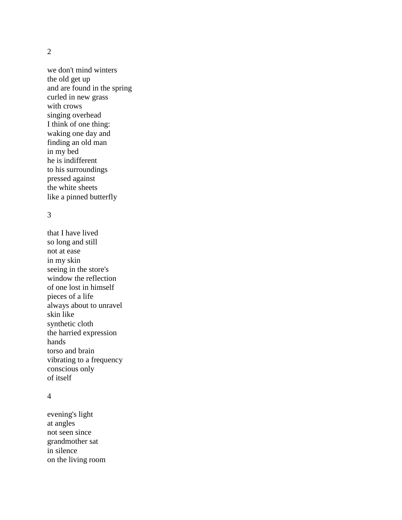#### 2

we don't mind winters the old get up and are found in the spring curled in new grass with crows singing overhead I think of one thing: waking one day and finding an old man in my bed he is indifferent to his surroundings pressed against the white sheets like a pinned butterfly

# 3

that I have lived so long and still not at ease in my skin seeing in the store's window the reflection of one lost in himself pieces of a life always about to unravel skin like synthetic cloth the harried expression hands torso and brain vibrating to a frequency conscious only of itself

#### 4

evening's light at angles not seen since grandmother sat in silence on the living room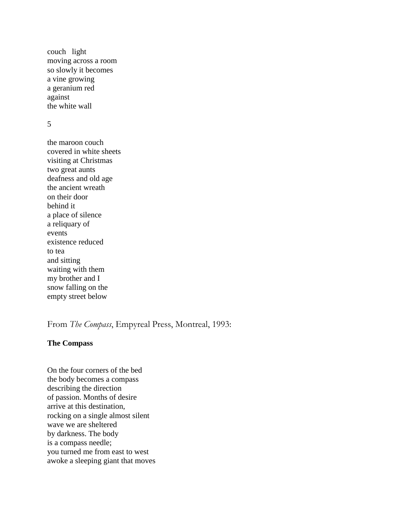couch light moving across a room so slowly it becomes a vine growing a geranium red against the white wall

5

the maroon couch covered in white sheets visiting at Christmas two great aunts deafness and old age the ancient wreath on their door behind it a place of silence a reliquary of events existence reduced to tea and sitting waiting with them my brother and I snow falling on the empty street below

From *The Compass*, Empyreal Press, Montreal, 1993:

# **The Compass**

On the four corners of the bed the body becomes a compass describing the direction of passion. Months of desire arrive at this destination, rocking on a single almost silent wave we are sheltered by darkness. The body is a compass needle; you turned me from east to west awoke a sleeping giant that moves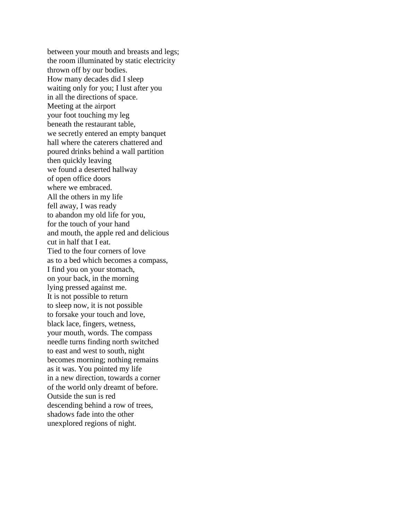between your mouth and breasts and legs; the room illuminated by static electricity thrown off by our bodies. How many decades did I sleep waiting only for you; I lust after you in all the directions of space. Meeting at the airport your foot touching my leg beneath the restaurant table, we secretly entered an empty banquet hall where the caterers chattered and poured drinks behind a wall partition then quickly leaving we found a deserted hallway of open office doors where we embraced. All the others in my life fell away, I was ready to abandon my old life for you, for the touch of your hand and mouth, the apple red and delicious cut in half that I eat. Tied to the four corners of love as to a bed which becomes a compass, I find you on your stomach, on your back, in the morning lying pressed against me. It is not possible to return to sleep now, it is not possible to forsake your touch and love, black lace, fingers, wetness, your mouth, words. The compass needle turns finding north switched to east and west to south, night becomes morning; nothing remains as it was. You pointed my life in a new direction, towards a corner of the world only dreamt of before. Outside the sun is red descending behind a row of trees, shadows fade into the other unexplored regions of night.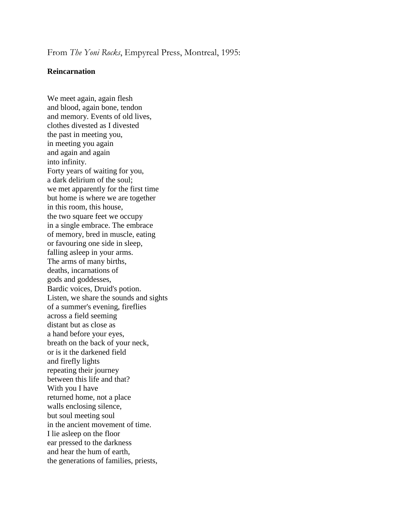From *The Yoni Rocks*, Empyreal Press, Montreal, 1995:

#### **Reincarnation**

We meet again, again flesh and blood, again bone, tendon and memory. Events of old lives, clothes divested as I divested the past in meeting you, in meeting you again and again and again into infinity. Forty years of waiting for you, a dark delirium of the soul; we met apparently for the first time but home is where we are together in this room, this house, the two square feet we occupy in a single embrace. The embrace of memory, bred in muscle, eating or favouring one side in sleep, falling asleep in your arms. The arms of many births, deaths, incarnations of gods and goddesses, Bardic voices, Druid's potion. Listen, we share the sounds and sights of a summer's evening, fireflies across a field seeming distant but as close as a hand before your eyes, breath on the back of your neck, or is it the darkened field and firefly lights repeating their journey between this life and that? With you I have returned home, not a place walls enclosing silence, but soul meeting soul in the ancient movement of time. I lie asleep on the floor ear pressed to the darkness and hear the hum of earth, the generations of families, priests,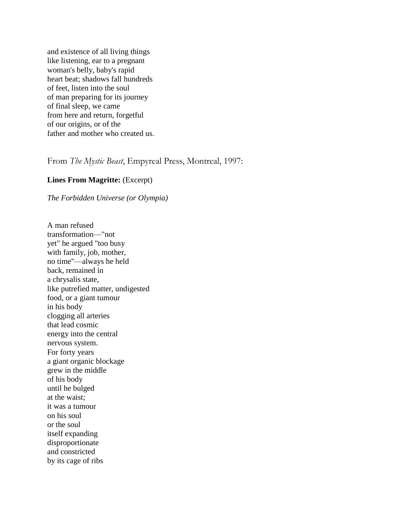and existence of all living things like listening, ear to a pregnant woman's belly, baby's rapid heart beat; shadows fall hundreds of feet, listen into the soul of man preparing for its journey of final sleep, we came from here and return, forgetful of our origins, or of the father and mother who created us.

From *The Mystic Beast*, Empyreal Press, Montreal, 1997:

# **Lines From Magritte:** (Excerpt)

### *The Forbidden Universe (or Olympia)*

A man refused transformation—"not yet" he argued "too busy with family, job, mother, no time"—always he held back, remained in a chrysalis state, like putrefied matter, undigested food, or a giant tumour in his body clogging all arteries that lead cosmic energy into the central nervous system. For forty years a giant organic blockage grew in the middle of his body until he bulged at the waist; it was a tumour on his soul or the soul itself expanding disproportionate and constricted by its cage of ribs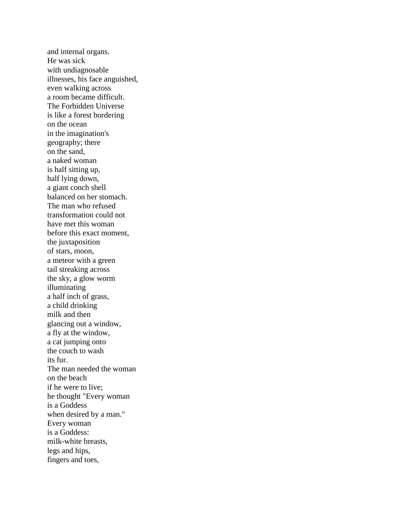and internal organs. He was sick with undiagnosable illnesses, his face anguished, even walking across a room became difficult. The Forbidden Universe is like a forest bordering on the ocean in the imagination's geography; there on the sand, a naked woman is half sitting up, half lying down, a giant conch shell balanced on her stomach. The man who refused transformation could not have met this woman before this exact moment, the juxtaposition of stars, moon, a meteor with a green tail streaking across the sky, a glow worm illuminating a half inch of grass, a child drinking milk and then glancing out a window, a fly at the window, a cat jumping onto the couch to wash its fur. The man needed the woman on the beach if he were to live; he thought "Every woman is a Goddess when desired by a man." Every woman is a Goddess: milk-white breasts, legs and hips, fingers and toes,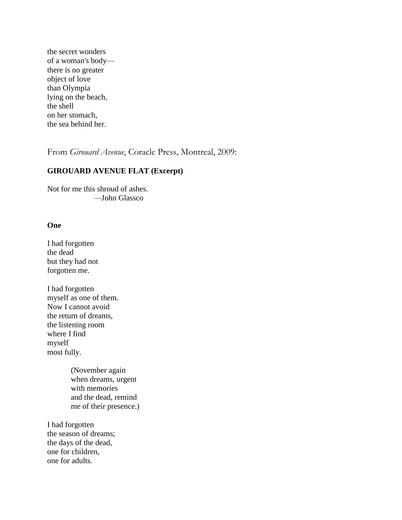the secret wonders of a woman's body there is no greater object of love than Olympia lying on the beach, the shell on her stomach, the sea behind her.

From *Girouard Avenue*, Coracle Press, Montreal, 2009:

# **GIROUARD AVENUE FLAT (Excerpt)**

Not for me this shroud of ashes. *—*John Glassco

### **One**

I had forgotten the dead but they had not forgotten me.

I had forgotten myself as one of them. Now I cannot avoid the return of dreams, the listening room where I find myself most fully.

> (November again when dreams, urgent with memories and the dead, remind me of their presence.)

I had forgotten the season of dreams; the days of the dead, one for children, one for adults.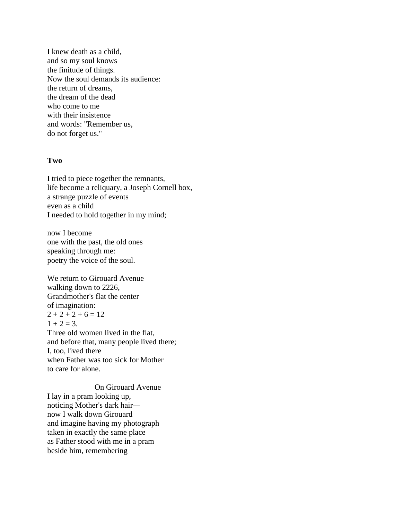I knew death as a child, and so my soul knows the finitude of things. Now the soul demands its audience: the return of dreams, the dream of the dead who come to me with their insistence and words: "Remember us, do not forget us."

#### **Two**

I tried to piece together the remnants, life become a reliquary, a Joseph Cornell box, a strange puzzle of events even as a child I needed to hold together in my mind;

now I become one with the past, the old ones speaking through me: poetry the voice of the soul.

We return to Girouard Avenue walking down to 2226, Grandmother's flat the center of imagination:  $2 + 2 + 2 + 6 = 12$  $1 + 2 = 3$ . Three old women lived in the flat, and before that, many people lived there; I, too, lived there when Father was too sick for Mother to care for alone.

On Girouard Avenue I lay in a pram looking up, noticing Mother's dark hair now I walk down Girouard and imagine having my photograph taken in exactly the same place as Father stood with me in a pram beside him, remembering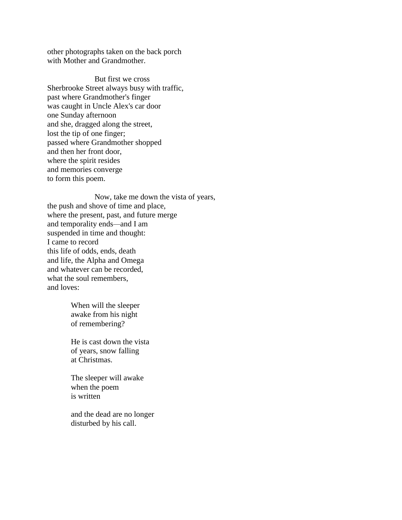other photographs taken on the back porch with Mother and Grandmother.

But first we cross Sherbrooke Street always busy with traffic, past where Grandmother's finger was caught in Uncle Alex's car door one Sunday afternoon and she, dragged along the street, lost the tip of one finger; passed where Grandmother shopped and then her front door, where the spirit resides and memories converge to form this poem.

Now, take me down the vista of years, the push and shove of time and place, where the present, past, and future merge and temporality ends*—*and I am suspended in time and thought: I came to record this life of odds, ends, death and life, the Alpha and Omega and whatever can be recorded, what the soul remembers, and loves:

> When will the sleeper awake from his night of remembering?

He is cast down the vista of years, snow falling at Christmas.

The sleeper will awake when the poem is written

and the dead are no longer disturbed by his call.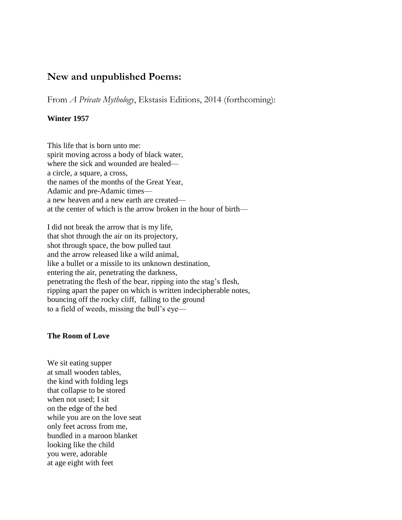# **New and unpublished Poems:**

From *A Private Mythology*, Ekstasis Editions, 2014 (forthcoming):

## **Winter 1957**

This life that is born unto me: spirit moving across a body of black water, where the sick and wounded are healed a circle, a square, a cross, the names of the months of the Great Year, Adamic and pre-Adamic times a new heaven and a new earth are created at the center of which is the arrow broken in the hour of birth—

I did not break the arrow that is my life, that shot through the air on its projectory, shot through space, the bow pulled taut and the arrow released like a wild animal, like a bullet or a missile to its unknown destination, entering the air, penetrating the darkness, penetrating the flesh of the bear, ripping into the stag's flesh, ripping apart the paper on which is written indecipherable notes, bouncing off the rocky cliff, falling to the ground to a field of weeds, missing the bull's eye—

### **The Room of Love**

We sit eating supper at small wooden tables, the kind with folding legs that collapse to be stored when not used; I sit on the edge of the bed while you are on the love seat only feet across from me, bundled in a maroon blanket looking like the child you were, adorable at age eight with feet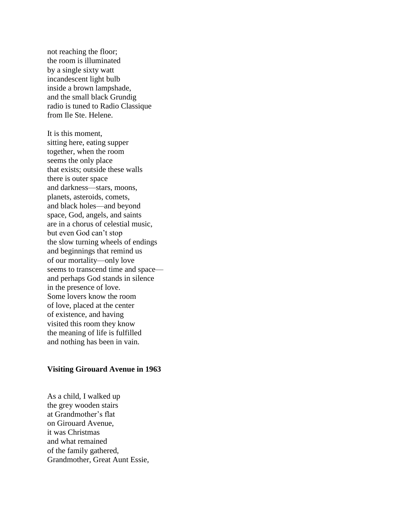not reaching the floor; the room is illuminated by a single sixty watt incandescent light bulb inside a brown lampshade, and the small black Grundig radio is tuned to Radio Classique from Ile Ste. Helene.

It is this moment, sitting here, eating supper together, when the room seems the only place that exists; outside these walls there is outer space and darkness—stars, moons, planets, asteroids, comets, and black holes—and beyond space, God, angels, and saints are in a chorus of celestial music, but even God can't stop the slow turning wheels of endings and beginnings that remind us of our mortality—only love seems to transcend time and space and perhaps God stands in silence in the presence of love. Some lovers know the room of love, placed at the center of existence, and having visited this room they know the meaning of life is fulfilled and nothing has been in vain.

#### **Visiting Girouard Avenue in 1963**

As a child, I walked up the grey wooden stairs at Grandmother's flat on Girouard Avenue, it was Christmas and what remained of the family gathered, Grandmother, Great Aunt Essie,